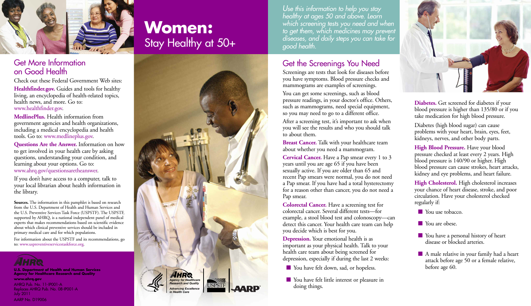

## Get More Information on Good Health

Check out these Federal Government Web sites: **Healthfinder.gov.** Guides and tools for healthy living, an encyclopedia of health-related topics, health news, and more. Go to: www.healthfinder.gov.

**MedlinePlus.** Health information from government agencies and health organizations, including a medical encyclopedia and health tools. Go to: www.medlineplus.gov.

**Questions Are the Answer.** Information on how to get involved in your health care by asking questions, understanding your condition, and learning about your options. Go to: www.ahrq.gov/questionsaretheanswer.

If you don't have access to a computer, talk to your local librarian about health information in the library.

**Sources.** The information in this pamphlet is based on research from the U.S. Department of Health and Human Services and the U.S. Preventive Services Task Force (USPSTF). The USPSTF, supported by AHRQ, is a national independent panel of medical experts that makes recommendations based on scientific evidence about which clinical preventive services should be included in primary medical care and for which populations.

For information about the USPSTF and its recommendations, go to: www.uspreventiveservicestaskforce.org.



**Agency for Healthcare Research and Quality www.ahrq.gov**

AHRQ Pub. No. 11-IP001-A Replaces AHRQ Pub. No. 08-IP001-A July 2011 AARP No. D19006

# **Women:** Stay Healthy at 50+



*Use this information to help you stay healthy at ages 50 and above. Learn which screening tests you need and when to get them, which medicines may prevent diseases, and daily steps you can take for good health.*

# Get the Screenings You Need

Screenings are tests that look for diseases before you have symptoms. Blood pressure checks and mammograms are examples of screenings.

You can get some screenings, such as blood pressure readings, in your doctor's office. Others, such as mammograms, need special equipment, so you may need to go to a different office.

After a screening test, it's important to ask when you will see the results and who you should talk to about them.

**Breast Cancer.** Talk with your healthcare team about whether you need a mammogram.

**Cervical Cancer.** Have a Pap smear every 1 to 3 years until you are age 65 if you have been sexually active. If you are older than 65 and recent Pap smears were normal, you do not need a Pap smear. If you have had a total hysterectomy for a reason other than cancer, you do not need a Pap smear.

**Colorectal Cancer.** Have a screening test for colorectal cancer. Several different tests—for example, a stool blood test and colonoscopy—can detect this cancer. Your health care team can help you decide which is best for you.

**Depression.** Your emotional health is as important as your physical health. Talk to your health care team about being screened for depression, especially if during the last 2 weeks:

- 
- You have felt little interest or pleasure in doing things.



**Diabetes.** Get screened for diabetes if your blood pressure is higher than 135/80 or if you take medication for high blood pressure.

Diabetes (high blood sugar) can cause problems with your heart, brain, eyes, feet, kidneys, nerves, and other body parts.

**High Blood Pressure.** Have your blood pressure checked at least every 2 years. High blood pressure is 140/90 or higher. High blood pressure can cause strokes, heart attacks, kidney and eye problems, and heart failure.

**High Cholesterol.** High cholesterol increases your chance of heart disease, stroke, and poor circulation. Have your cholesterol checked regularly if:

Nou use tobacco.

 $\blacksquare$  You are obese.

- **n** You have a personal history of heart disease or blocked arteries.
- $\blacksquare$  A male relative in your family had a heart attack before age 50 or a female relative,